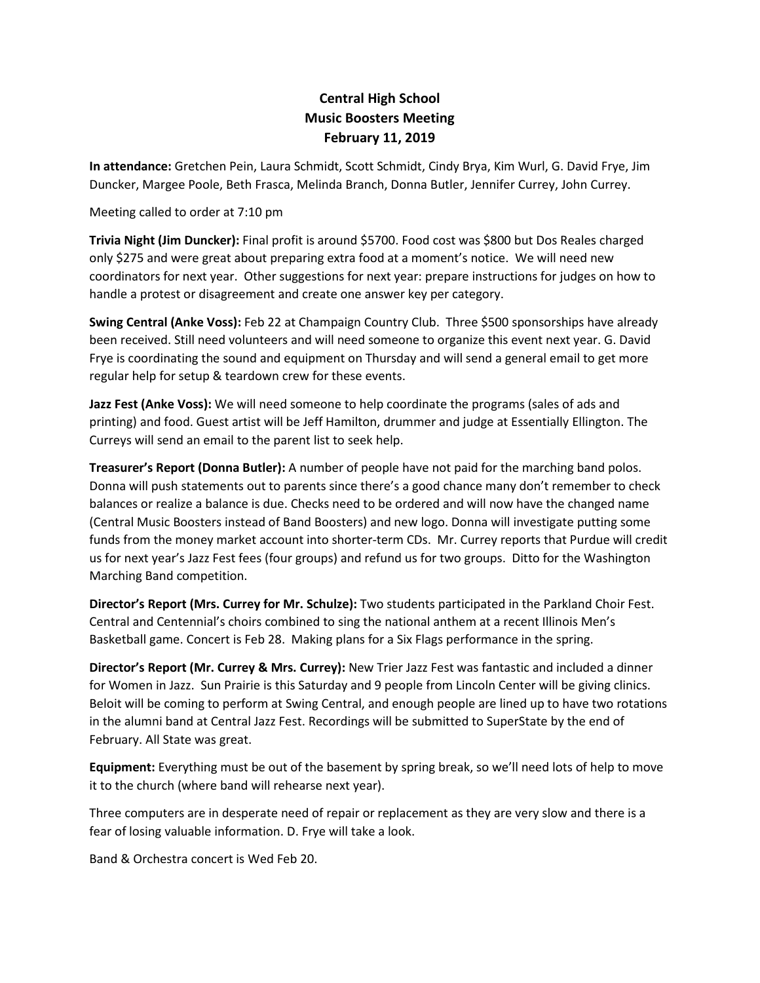## **Central High School Music Boosters Meeting February 11, 2019**

**In attendance:** Gretchen Pein, Laura Schmidt, Scott Schmidt, Cindy Brya, Kim Wurl, G. David Frye, Jim Duncker, Margee Poole, Beth Frasca, Melinda Branch, Donna Butler, Jennifer Currey, John Currey.

Meeting called to order at 7:10 pm

**Trivia Night (Jim Duncker):** Final profit is around \$5700. Food cost was \$800 but Dos Reales charged only \$275 and were great about preparing extra food at a moment's notice. We will need new coordinators for next year. Other suggestions for next year: prepare instructions for judges on how to handle a protest or disagreement and create one answer key per category.

**Swing Central (Anke Voss):** Feb 22 at Champaign Country Club. Three \$500 sponsorships have already been received. Still need volunteers and will need someone to organize this event next year. G. David Frye is coordinating the sound and equipment on Thursday and will send a general email to get more regular help for setup & teardown crew for these events.

**Jazz Fest (Anke Voss):** We will need someone to help coordinate the programs (sales of ads and printing) and food. Guest artist will be Jeff Hamilton, drummer and judge at Essentially Ellington. The Curreys will send an email to the parent list to seek help.

**Treasurer's Report (Donna Butler):** A number of people have not paid for the marching band polos. Donna will push statements out to parents since there's a good chance many don't remember to check balances or realize a balance is due. Checks need to be ordered and will now have the changed name (Central Music Boosters instead of Band Boosters) and new logo. Donna will investigate putting some funds from the money market account into shorter-term CDs. Mr. Currey reports that Purdue will credit us for next year's Jazz Fest fees (four groups) and refund us for two groups. Ditto for the Washington Marching Band competition.

**Director's Report (Mrs. Currey for Mr. Schulze):** Two students participated in the Parkland Choir Fest. Central and Centennial's choirs combined to sing the national anthem at a recent Illinois Men's Basketball game. Concert is Feb 28. Making plans for a Six Flags performance in the spring.

**Director's Report (Mr. Currey & Mrs. Currey):** New Trier Jazz Fest was fantastic and included a dinner for Women in Jazz. Sun Prairie is this Saturday and 9 people from Lincoln Center will be giving clinics. Beloit will be coming to perform at Swing Central, and enough people are lined up to have two rotations in the alumni band at Central Jazz Fest. Recordings will be submitted to SuperState by the end of February. All State was great.

**Equipment:** Everything must be out of the basement by spring break, so we'll need lots of help to move it to the church (where band will rehearse next year).

Three computers are in desperate need of repair or replacement as they are very slow and there is a fear of losing valuable information. D. Frye will take a look.

Band & Orchestra concert is Wed Feb 20.